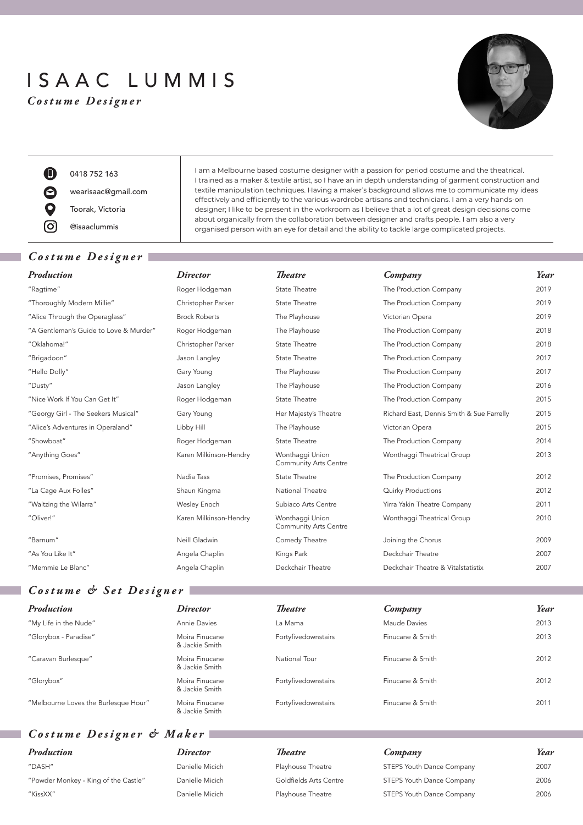# ISAAC LUMMIS

*Costume Designer*



O) 0418 752 163  $\boldsymbol{\Theta}$ wearisaac@gmail.com Toorak, Victoria [O. @isaaclummis

## *Costume Designer*

| <b>State Theatre</b>                            |
|-------------------------------------------------|
| <b>State Theatre</b>                            |
| The Playhouse                                   |
| The Playhouse                                   |
| <b>State Theatre</b>                            |
| <b>State Theatre</b>                            |
| The Playhouse                                   |
| The Playhouse                                   |
| <b>State Theatre</b>                            |
| Her Majesty's Theatre                           |
| The Playhouse                                   |
| State Theatre                                   |
| Wonthaggi Union<br><b>Community Arts Centre</b> |
| <b>State Theatre</b>                            |
| National Theatre                                |
| Subiaco Arts Centre                             |
| Wonthaggi Union<br><b>Community Arts Centre</b> |
| Comedy Theatre                                  |
| Kings Park                                      |
| Deckchair Theatre                               |

I am a Melbourne based costume designer with a passion for period costume and the theatrical. I trained as a maker & textile artist, so I have an in depth understanding of garment construction and textile manipulation techniques. Having a maker's background allows me to communicate my ideas effectively and efficiently to the various wardrobe artisans and technicians. I am a very hands-on designer; I like to be present in the workroom as I believe that a lot of great design decisions come about organically from the collaboration between designer and crafts people. I am also a very organised person with an eye for detail and the ability to tackle large complicated projects.

| Production                             | <i>Director</i>        | <b>Theatre</b>                                  | Company                                   | Year |
|----------------------------------------|------------------------|-------------------------------------------------|-------------------------------------------|------|
| "Ragtime"                              | Roger Hodgeman         | <b>State Theatre</b>                            | The Production Company                    | 2019 |
| "Thoroughly Modern Millie"             | Christopher Parker     | State Theatre                                   | The Production Company                    | 2019 |
| "Alice Through the Operaglass"         | <b>Brock Roberts</b>   | The Playhouse                                   | Victorian Opera                           | 2019 |
| "A Gentleman's Guide to Love & Murder" | Roger Hodgeman         | The Playhouse                                   | The Production Company                    | 2018 |
| "Oklahoma!"                            | Christopher Parker     | State Theatre                                   | The Production Company                    | 2018 |
| "Brigadoon"                            | Jason Langley          | State Theatre                                   | The Production Company                    | 2017 |
| "Hello Dolly"                          | Gary Young             | The Playhouse                                   | The Production Company                    | 2017 |
| "Dusty"                                | Jason Langley          | The Playhouse                                   | The Production Company                    | 2016 |
| "Nice Work If You Can Get It"          | Roger Hodgeman         | State Theatre                                   | The Production Company                    | 2015 |
| "Georgy Girl - The Seekers Musical"    | Gary Young             | Her Majesty's Theatre                           | Richard East, Dennis Smith & Sue Farrelly | 2015 |
| "Alice's Adventures in Operaland"      | Libby Hill             | The Playhouse                                   | Victorian Opera                           | 2015 |
| "Showboat"                             | Roger Hodgeman         | State Theatre                                   | The Production Company                    | 2014 |
| "Anything Goes"                        | Karen Milkinson-Hendry | Wonthaggi Union<br><b>Community Arts Centre</b> | Wonthaggi Theatrical Group                | 2013 |
| "Promises, Promises"                   | Nadia Tass             | State Theatre                                   | The Production Company                    | 2012 |
| "La Cage Aux Folles"                   | Shaun Kingma           | National Theatre                                | <b>Quirky Productions</b>                 | 2012 |
| "Waltzing the Wilarra"                 | Wesley Enoch           | Subiaco Arts Centre                             | Yirra Yakin Theatre Company               | 2011 |
| "Oliver!"                              | Karen Milkinson-Hendry | Wonthaggi Union<br><b>Community Arts Centre</b> | Wonthaggi Theatrical Group                | 2010 |
| "Barnum"                               | Neill Gladwin          | Comedy Theatre                                  | Joining the Chorus                        | 2009 |
| "As You Like It"                       | Angela Chaplin         | Kings Park                                      | Deckchair Theatre                         | 2007 |
| "Memmie Le Blanc"                      | Angela Chaplin         | Deckchair Theatre                               | Deckchair Theatre & Vitalstatistix        | 2007 |

# *Costume & Set Designer*

| Production                           | <i>Director</i>                  | <b>Theatre</b>      | Company          | Year |
|--------------------------------------|----------------------------------|---------------------|------------------|------|
| "My Life in the Nude"                | Annie Davies                     | La Mama             | Maude Davies     | 2013 |
| "Glorybox - Paradise"                | Moira Finucane<br>& Jackie Smith | Fortyfivedownstairs | Finucane & Smith | 2013 |
| "Caravan Burlesque"                  | Moira Finucane<br>& Jackie Smith | National Tour       | Finucane & Smith | 2012 |
| "Glorybox"                           | Moira Finucane<br>& Jackie Smith | Fortyfivedownstairs | Finucane & Smith | 2012 |
| "Melbourne Loves the Burlesque Hour" | Moira Finucane<br>& Jackie Smith | Fortyfivedownstairs | Finucane & Smith | 2011 |

# *Costume Designer & Maker*

| Production                           | <i>Director</i> | Theatre                | Company                   | Year |
|--------------------------------------|-----------------|------------------------|---------------------------|------|
| "DASH"                               | Danielle Micich | Playhouse Theatre      | STEPS Youth Dance Company | 2007 |
| "Powder Monkey - King of the Castle" | Danielle Micich | Goldfields Arts Centre | STEPS Youth Dance Company | 2006 |
| "KissXX"                             | Danielle Micich | Playhouse Theatre      | STEPS Youth Dance Company | 2006 |